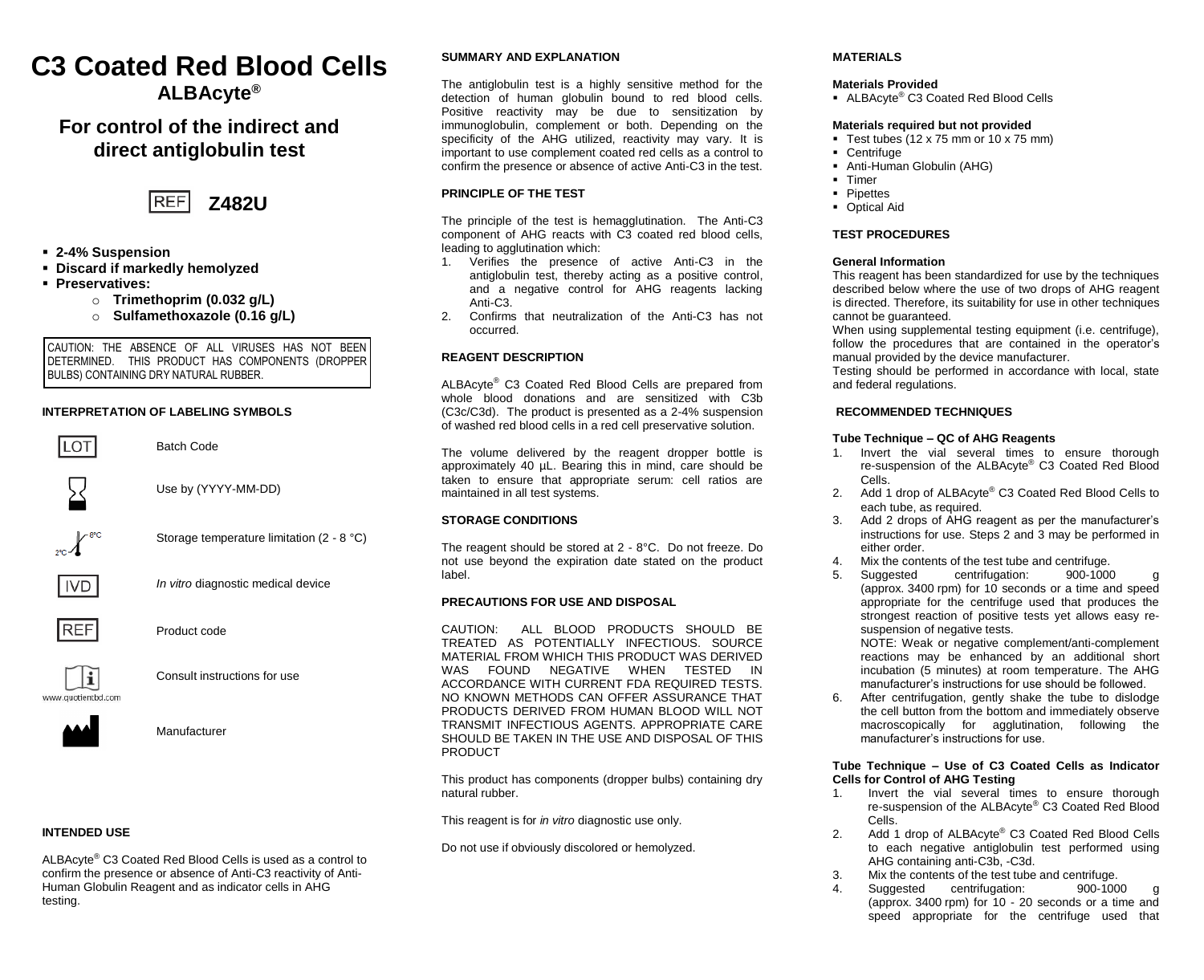# **C3 Coated Red Blood Cells ALBAcyte®**

# **For control of the indirect and direct antiglobulin test**



- **2-4% Suspension**
- **Discard if markedly hemolyzed**
- **Preservatives:**
	- o **Trimethoprim (0.032 g/L)**
	- o **Sulfamethoxazole (0.16 g/L)**

CAUTION: THE ABSENCE OF ALL VIRUSES HAS NOT BEEN DETERMINED. THIS PRODUCT HAS COMPONENTS (DROPPER BULBS) CONTAINING DRY NATURAL RUBBER.

# **INTERPRETATION OF LABELING SYMBOLS**

Batch Code

Use by (YYYY-MM-DD)



Storage temperature limitation (2 - 8 °C)



*In vitro* diagnostic medical device



Product code



Consult instructions for use



Manufacturer

# **INTENDED USE**

ALBAcyte® C3 Coated Red Blood Cells is used as a control to confirm the presence or absence of Anti-C3 reactivity of Anti-Human Globulin Reagent and as indicator cells in AHG testing.

# **SUMMARY AND EXPLANATION**

The antiglobulin test is a highly sensitive method for the detection of human globulin bound to red blood cells. Positive reactivity may be due to sensitization by immunoglobulin, complement or both. Depending on the specificity of the AHG utilized, reactivity may vary. It is important to use complement coated red cells as a control to confirm the presence or absence of active Anti-C3 in the test.

# **PRINCIPLE OF THE TEST**

The principle of the test is hemagglutination. The Anti-C3 component of AHG reacts with C3 coated red blood cells, leading to agglutination which:

- 1. Verifies the presence of active Anti-C3 in the antiglobulin test, thereby acting as a positive control, and a negative control for AHG reagents lacking Anti-C3.
- 2. Confirms that neutralization of the Anti-C3 has not occurred.

## **REAGENT DESCRIPTION**

ALBAcyte® C3 Coated Red Blood Cells are prepared from whole blood donations and are sensitized with C3b (C3c/C3d). The product is presented as a 2-4% suspension of washed red blood cells in a red cell preservative solution.

The volume delivered by the reagent dropper bottle is approximately 40 µL. Bearing this in mind, care should be taken to ensure that appropriate serum: cell ratios are maintained in all test systems.

#### **STORAGE CONDITIONS**

The reagent should be stored at 2 - 8°C. Do not freeze. Do not use beyond the expiration date stated on the product label.

## **PRECAUTIONS FOR USE AND DISPOSAL**

CAUTION: ALL BLOOD PRODUCTS SHOULD BE TREATED AS POTENTIALLY INFECTIOUS. SOURCE MATERIAL FROM WHICH THIS PRODUCT WAS DERIVED WAS FOUND NEGATIVE WHEN TESTED IN ACCORDANCE WITH CURRENT FDA REQUIRED TESTS. NO KNOWN METHODS CAN OFFER ASSURANCE THAT PRODUCTS DERIVED FROM HUMAN BLOOD WILL NOT TRANSMIT INFECTIOUS AGENTS. APPROPRIATE CARE SHOULD BE TAKEN IN THE USE AND DISPOSAL OF THIS **PRODUCT** 

This product has components (dropper bulbs) containing dry natural rubber.

This reagent is for *in vitro* diagnostic use only.

Do not use if obviously discolored or hemolyzed.

# **MATERIALS**

# **Materials Provided**

■ ALBAcyte<sup>®</sup> C3 Coated Red Blood Cells

## **Materials required but not provided**

- Test tubes (12 x 75 mm or 10 x 75 mm)
- Centrifuge
- **Anti-Human Globulin (AHG)**
- Timer
- Pipettes
- Optical Aid

# **TEST PROCEDURES**

#### **General Information**

This reagent has been standardized for use by the techniques described below where the use of two drops of AHG reagent is directed. Therefore, its suitability for use in other techniques cannot be guaranteed.

When using supplemental testing equipment (i.e. centrifuge), follow the procedures that are contained in the operator's manual provided by the device manufacturer.

Testing should be performed in accordance with local, state and federal regulations.

## **RECOMMENDED TECHNIQUES**

# **Tube Technique – QC of AHG Reagents**

- 1. Invert the vial several times to ensure thorough re-suspension of the ALBAcyte® C3 Coated Red Blood Cells.
- 2. Add 1 drop of ALBAcyte® C3 Coated Red Blood Cells to each tube, as required.
- 3. Add 2 drops of AHG reagent as per the manufacturer's instructions for use. Steps 2 and 3 may be performed in either order.
- 4. Mix the contents of the test tube and centrifuge.<br>5. Suggested centrifugation: 900-1000
- centrifugation: (approx. 3400 rpm) for 10 seconds or a time and speed appropriate for the centrifuge used that produces the strongest reaction of positive tests yet allows easy resuspension of negative tests.

NOTE: Weak or negative complement/anti-complement reactions may be enhanced by an additional short incubation (5 minutes) at room temperature. The AHG manufacturer's instructions for use should be followed.

6. After centrifugation, gently shake the tube to dislodge the cell button from the bottom and immediately observe macroscopically for agglutination, following the manufacturer's instructions for use.

## **Tube Technique – Use of C3 Coated Cells as Indicator Cells for Control of AHG Testing**

- Invert the vial several times to ensure thorough re-suspension of the ALBAcyte® C3 Coated Red Blood Cells.
- 2. Add 1 drop of ALBAcyte® C3 Coated Red Blood Cells to each negative antiglobulin test performed using AHG containing anti-C3b, -C3d.
- Mix the contents of the test tube and centrifuge.<br>Suggested centrifugation: 900-1000
	- Suggested centrifugation: (approx.  $3400$  rpm) for  $10 - 20$  seconds or a time and speed appropriate for the centrifuge used that